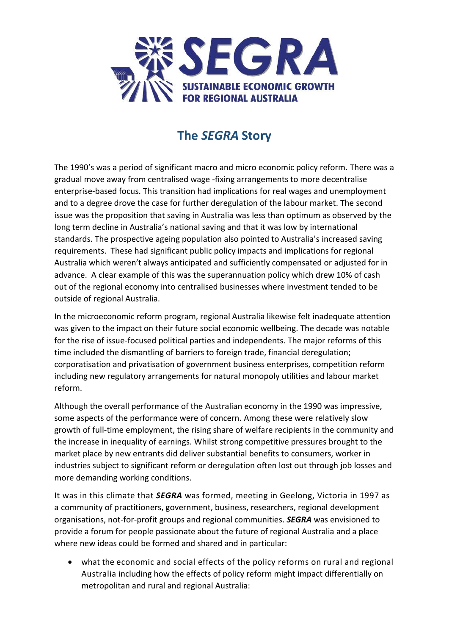

## **The** *SEGRA* **Story**

The 1990's was a period of significant macro and micro economic policy reform. There was a gradual move away from centralised wage -fixing arrangements to more decentralise enterprise-based focus. This transition had implications for real wages and unemployment and to a degree drove the case for further deregulation of the labour market. The second issue was the proposition that saving in Australia was less than optimum as observed by the long term decline in Australia's national saving and that it was low by international standards. The prospective ageing population also pointed to Australia's increased saving requirements. These had significant public policy impacts and implications for regional Australia which weren't always anticipated and sufficiently compensated or adjusted for in advance. A clear example of this was the superannuation policy which drew 10% of cash out of the regional economy into centralised businesses where investment tended to be outside of regional Australia.

In the microeconomic reform program, regional Australia likewise felt inadequate attention was given to the impact on their future social economic wellbeing. The decade was notable for the rise of issue-focused political parties and independents. The major reforms of this time included the dismantling of barriers to foreign trade, financial deregulation; corporatisation and privatisation of government business enterprises, competition reform including new regulatory arrangements for natural monopoly utilities and labour market reform.

Although the overall performance of the Australian economy in the 1990 was impressive, some aspects of the performance were of concern. Among these were relatively slow growth of full-time employment, the rising share of welfare recipients in the community and the increase in inequality of earnings. Whilst strong competitive pressures brought to the market place by new entrants did deliver substantial benefits to consumers, worker in industries subject to significant reform or deregulation often lost out through job losses and more demanding working conditions.

It was in this climate that *SEGRA* was formed, meeting in Geelong, Victoria in 1997 as a community of practitioners, government, business, researchers, regional development organisations, not-for-profit groups and regional communities. *SEGRA* was envisioned to provide a forum for people passionate about the future of regional Australia and a place where new ideas could be formed and shared and in particular:

 what the economic and social effects of the policy reforms on rural and regional Australia including how the effects of policy reform might impact differentially on metropolitan and rural and regional Australia: